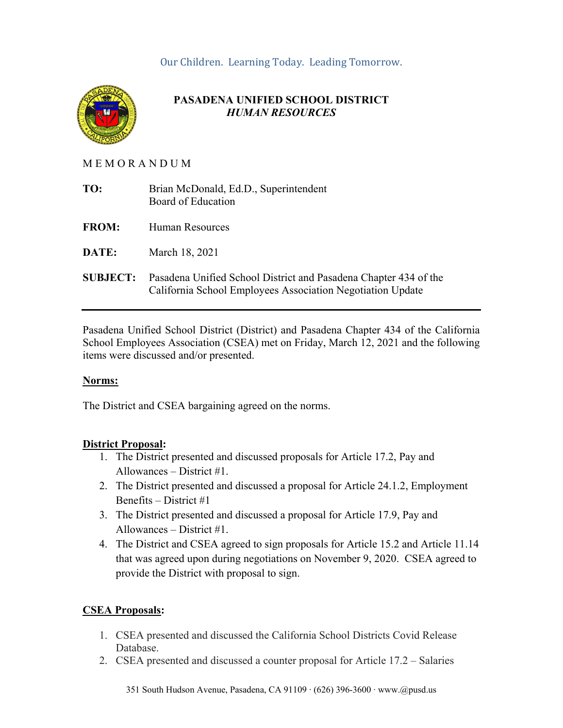## Our Children. Learning Today. Leading Tomorrow.



## **PASADENA UNIFIED SCHOOL DISTRICT**  *HUMAN RESOURCES*

### M E M O R A N D U M

| TO:             | Brian McDonald, Ed.D., Superintendent<br>Board of Education                                                                    |
|-----------------|--------------------------------------------------------------------------------------------------------------------------------|
| <b>FROM:</b>    | Human Resources                                                                                                                |
| DATE:           | March 18, 2021                                                                                                                 |
| <b>SUBJECT:</b> | Pasadena Unified School District and Pasadena Chapter 434 of the<br>California School Employees Association Negotiation Update |

Pasadena Unified School District (District) and Pasadena Chapter 434 of the California School Employees Association (CSEA) met on Friday, March 12, 2021 and the following items were discussed and/or presented.

#### **Norms:**

The District and CSEA bargaining agreed on the norms.

## **District Proposal:**

- 1. The District presented and discussed proposals for Article 17.2, Pay and Allowances – District #1.
- 2. The District presented and discussed a proposal for Article 24.1.2, Employment Benefits – District #1
- 3. The District presented and discussed a proposal for Article 17.9, Pay and Allowances – District #1.
- 4. The District and CSEA agreed to sign proposals for Article 15.2 and Article 11.14 that was agreed upon during negotiations on November 9, 2020. CSEA agreed to provide the District with proposal to sign.

## **CSEA Proposals:**

- 1. CSEA presented and discussed the California School Districts Covid Release Database.
- 2. CSEA presented and discussed a counter proposal for Article 17.2 Salaries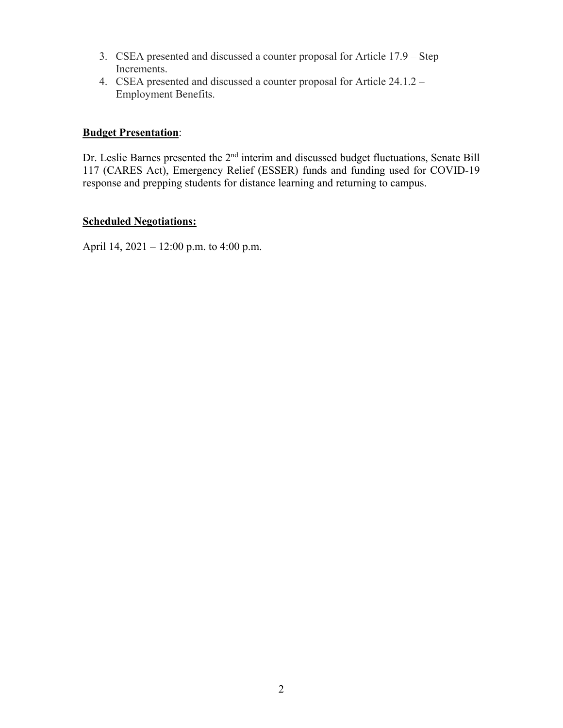- 3. CSEA presented and discussed a counter proposal for Article 17.9 Step Increments.
- 4. CSEA presented and discussed a counter proposal for Article 24.1.2 Employment Benefits.

## **Budget Presentation**:

Dr. Leslie Barnes presented the 2<sup>nd</sup> interim and discussed budget fluctuations, Senate Bill 117 (CARES Act), Emergency Relief (ESSER) funds and funding used for COVID-19 response and prepping students for distance learning and returning to campus.

### **Scheduled Negotiations:**

April 14, 2021 – 12:00 p.m. to 4:00 p.m.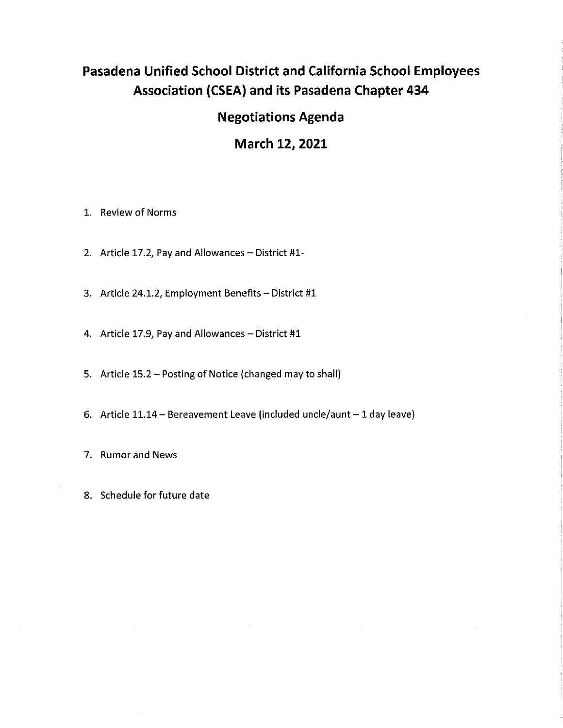# Pasadena Unified School District and California School Employees **Association (CSEA) and its Pasadena Chapter 434**

# **Negotiations Agenda**

# March 12, 2021

- 1. Review of Norms
- 2. Article 17.2, Pay and Allowances District #1-
- 3. Article 24.1.2, Employment Benefits District #1
- 4. Article 17.9, Pay and Allowances District #1
- 5. Article 15.2 Posting of Notice (changed may to shall)
- 6. Article 11.14 Bereavement Leave (included uncle/aunt 1 day leave)
- 7. Rumor and News
- 8. Schedule for future date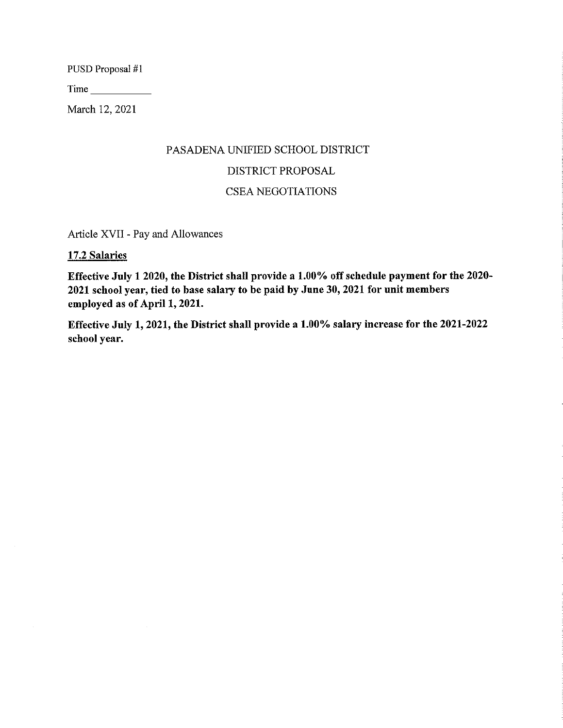PUSD Proposal #1

March 12, 2021

# PASADENA UNIFIED SCHOOL DISTRICT DISTRICT PROPOSAL **CSEA NEGOTIATIONS**

Article XVII - Pay and Allowances

#### 17.2 Salaries

Effective July 1 2020, the District shall provide a 1.00% off schedule payment for the 2020-2021 school year, tied to base salary to be paid by June 30, 2021 for unit members employed as of April 1, 2021.

Effective July 1, 2021, the District shall provide a 1.00% salary increase for the 2021-2022 school year.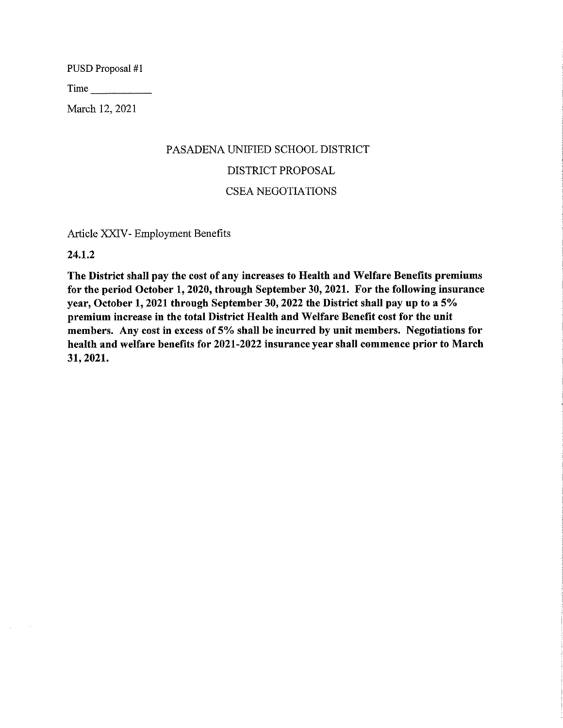PUSD Proposal #1

March 12, 2021

# PASADENA UNIFIED SCHOOL DISTRICT DISTRICT PROPOSAL **CSEA NEGOTIATIONS**

Article XXIV- Employment Benefits

24.1.2

The District shall pay the cost of any increases to Health and Welfare Benefits premiums for the period October 1, 2020, through September 30, 2021. For the following insurance year, October 1, 2021 through September 30, 2022 the District shall pay up to a 5% premium increase in the total District Health and Welfare Benefit cost for the unit members. Any cost in excess of 5% shall be incurred by unit members. Negotiations for health and welfare benefits for 2021-2022 insurance year shall commence prior to March 31, 2021.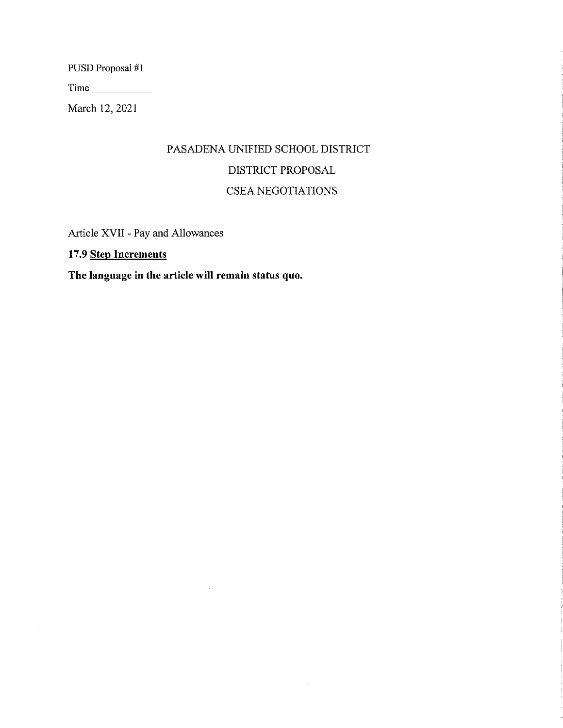PUSD Proposal #1

March 12, 2021

# PASADENA UNIFIED SCHOOL DISTRICT DISTRICT PROPOSAL CSEA NEGOTIATIONS

Article XVII - Pay and Allowances

17.9 Step Increments

 $\bar{\mathcal{A}}$ 

The language in the article will remain status quo.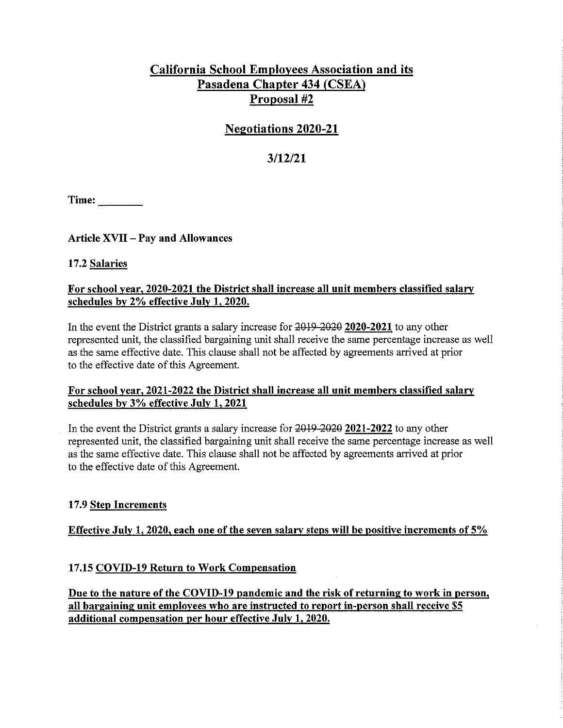## **California School Employees Association and its** Pasadena Chapter 434 (CSEA) Proposal #2

## **Negotiations 2020-21**

## $3/12/21$

 $Time:$ 

## **Article XVII - Pay and Allowances**

### 17.2 Salaries

### For school year, 2020-2021 the District shall increase all unit members classified salary schedules by 2% effective July 1, 2020.

In the event the District grants a salary increase for 2019-2020 2020-2021 to any other represented unit, the classified bargaining unit shall receive the same percentage increase as well as the same effective date. This clause shall not be affected by agreements arrived at prior to the effective date of this Agreement.

### For school year, 2021-2022 the District shall increase all unit members classified salary schedules by 3% effective July 1, 2021

In the event the District grants a salary increase for 2019-2020 2021-2022 to any other represented unit, the classified bargaining unit shall receive the same percentage increase as well as the same effective date. This clause shall not be affected by agreements arrived at prior to the effective date of this Agreement.

#### 17.9 Step Increments

## Effective July 1, 2020, each one of the seven salary steps will be positive increments of  $5\%$

## 17.15 COVID-19 Return to Work Compensation

Due to the nature of the COVID-19 pandemic and the risk of returning to work in person, all bargaining unit employees who are instructed to report in-person shall receive \$5 additional compensation per hour effective July 1, 2020.